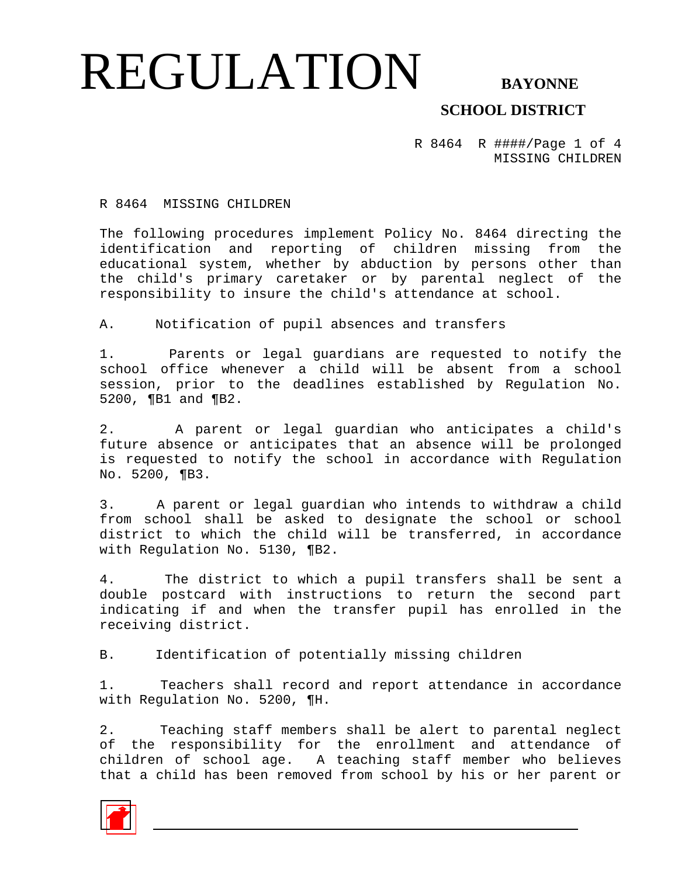#### REGULATION BAYONNE  **SCHOOL DISTRICT**

R 8464 R ####/Page 1 of 4 MISSING CHILDREN

R 8464 MISSING CHILDREN

The following procedures implement Policy No. 8464 directing the identification and reporting of children missing from the educational system, whether by abduction by persons other than the child's primary caretaker or by parental neglect of the responsibility to insure the child's attendance at school.

A. Notification of pupil absences and transfers

1. Parents or legal guardians are requested to notify the school office whenever a child will be absent from a school session, prior to the deadlines established by Regulation No. 5200, ¶B1 and ¶B2.

2. A parent or legal guardian who anticipates a child's future absence or anticipates that an absence will be prolonged is requested to notify the school in accordance with Regulation No. 5200, ¶B3.

3. A parent or legal guardian who intends to withdraw a child from school shall be asked to designate the school or school district to which the child will be transferred, in accordance with Regulation No. 5130, ¶B2.

4. The district to which a pupil transfers shall be sent a double postcard with instructions to return the second part indicating if and when the transfer pupil has enrolled in the receiving district.

B. Identification of potentially missing children

1. Teachers shall record and report attendance in accordance with Regulation No. 5200, ¶H.

2. Teaching staff members shall be alert to parental neglect of the responsibility for the enrollment and attendance of children of school age. A teaching staff member who believes that a child has been removed from school by his or her parent or

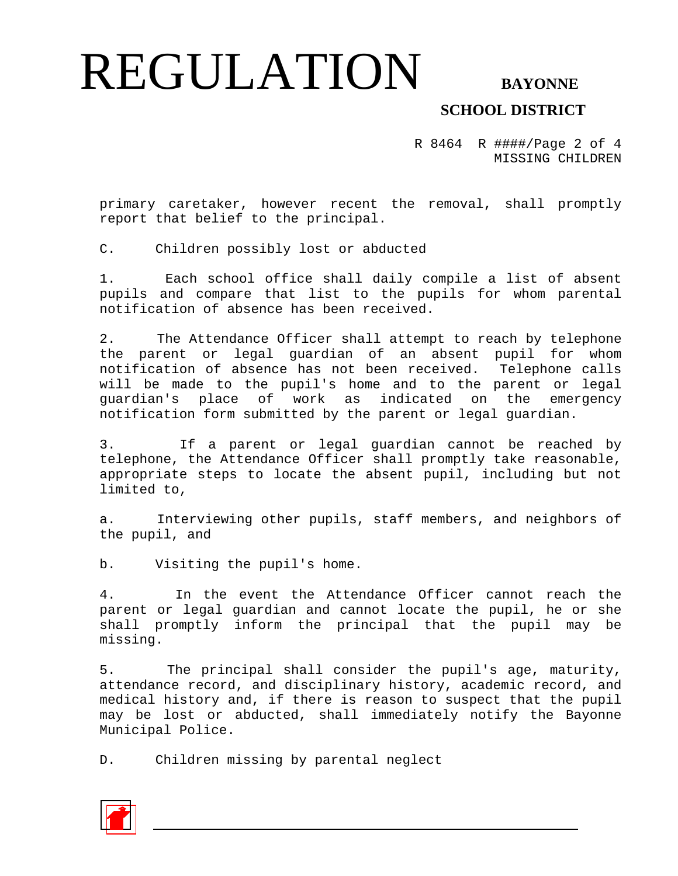## REGULATION BAYONNE

### **SCHOOL DISTRICT**

R 8464 R ####/Page 2 of 4 MISSING CHILDREN

primary caretaker, however recent the removal, shall promptly report that belief to the principal.

C. Children possibly lost or abducted

1. Each school office shall daily compile a list of absent pupils and compare that list to the pupils for whom parental notification of absence has been received.

2. The Attendance Officer shall attempt to reach by telephone the parent or legal guardian of an absent pupil for whom notification of absence has not been received. Telephone calls will be made to the pupil's home and to the parent or legal guardian's place of work as indicated on the emergency notification form submitted by the parent or legal guardian.

3. If a parent or legal guardian cannot be reached by telephone, the Attendance Officer shall promptly take reasonable, appropriate steps to locate the absent pupil, including but not limited to,

a. Interviewing other pupils, staff members, and neighbors of the pupil, and

b. Visiting the pupil's home.

4. In the event the Attendance Officer cannot reach the parent or legal guardian and cannot locate the pupil, he or she shall promptly inform the principal that the pupil may be missing.

5. The principal shall consider the pupil's age, maturity, attendance record, and disciplinary history, academic record, and medical history and, if there is reason to suspect that the pupil may be lost or abducted, shall immediately notify the Bayonne Municipal Police.

D. Children missing by parental neglect

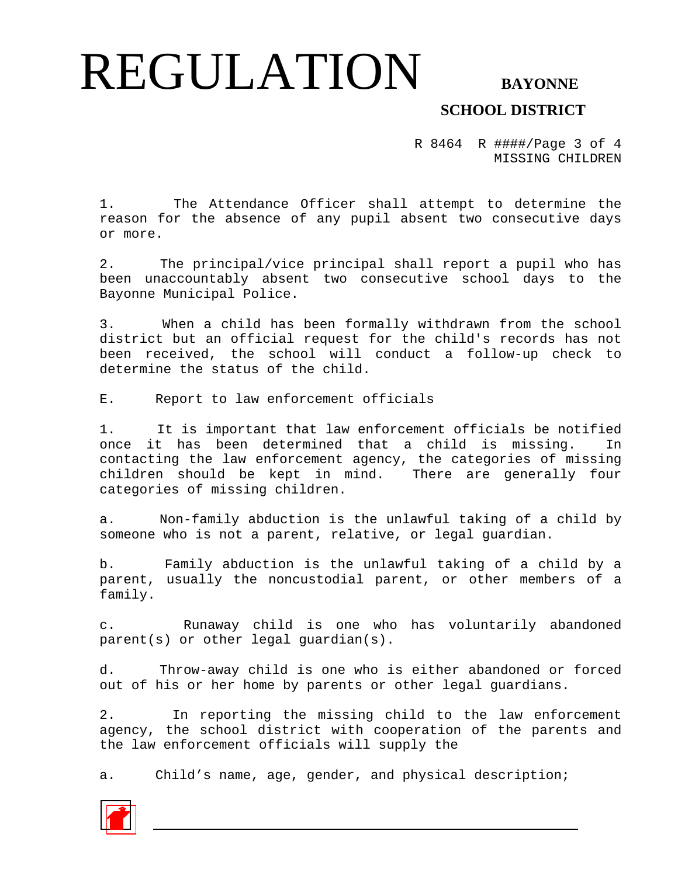## REGULATION BAYONNE

### **SCHOOL DISTRICT**

R 8464 R ####/Page 3 of 4 MISSING CHILDREN

1. The Attendance Officer shall attempt to determine the reason for the absence of any pupil absent two consecutive days or more.

2. The principal/vice principal shall report a pupil who has been unaccountably absent two consecutive school days to the Bayonne Municipal Police.

3. When a child has been formally withdrawn from the school district but an official request for the child's records has not been received, the school will conduct a follow-up check to determine the status of the child.

E. Report to law enforcement officials

1. It is important that law enforcement officials be notified once it has been determined that a child is missing. In contacting the law enforcement agency, the categories of missing children should be kept in mind. There are generally four categories of missing children.

a. Non-family abduction is the unlawful taking of a child by someone who is not a parent, relative, or legal guardian.

b. Family abduction is the unlawful taking of a child by a parent, usually the noncustodial parent, or other members of a family.

c. Runaway child is one who has voluntarily abandoned parent(s) or other legal guardian(s).

d. Throw-away child is one who is either abandoned or forced out of his or her home by parents or other legal guardians.

2. In reporting the missing child to the law enforcement agency, the school district with cooperation of the parents and the law enforcement officials will supply the

a. Child's name, age, gender, and physical description;